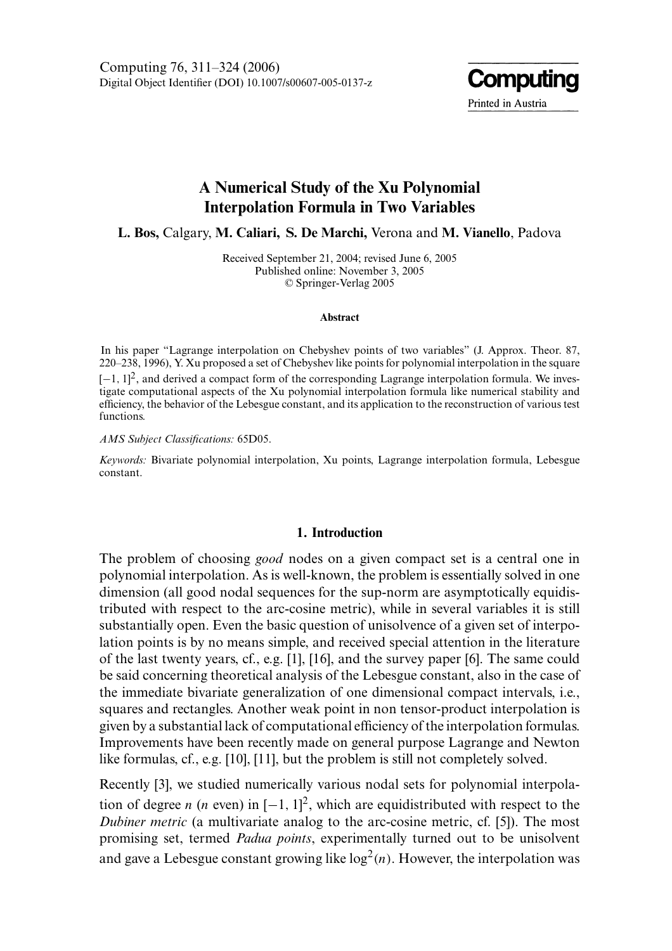Digital Object Identifier (DOI) 10.1007/s00607-005-0137-z Computing 76, 311–324 (2006)



# A Numerical Study of the Xu Polynomial Interpolation Formula in Two Variables

L. Bos, Calgary, M. Caliari, S. De Marchi, Verona and M. Vianello, Padova

Received September 21, 2004; revised June 6, 2005 Published online: November 3, 2005 © Springer-Verlag 2005

#### **Abstract**

In his paper "Lagrange interpolation on Chebyshev points of two variables" (J. Approx. Theor. 87,  $220-238$ , 1996), Y. Xu proposed a set of Chebyshev like points for polynomial interpolation in the square  $[-1, 1]^2$ , and derived a compact form of the corresponding Lagrange interpolation formula. We investigate computational aspects of the Xu polynomial interpolation formula like numerical stability and efficiency, the behavior of the Lebesgue constant, and its application to the reconstruction of various test functions.

AMS Subject Classifications: 65D05.

Keywords: Bivariate polynomial interpolation, Xu points, Lagrange interpolation formula, Lebesgue constant.

### 1. Introduction

The problem of choosing *good* nodes on a given compact set is a central one in polynomial interpolation. As is well-known, the problem is essentially solved in one dimension (all good nodal sequences for the sup-norm are asymptotically equidistributed with respect to the arc-cosine metric), while in several variables it is still substantially open. Even the basic question of unisolvence of a given set of interpolation points is by no means simple, and received special attention in the literature of the last twenty years, cf., e.g. [1], [16], and the survey paper [6]. The same could be said concerning theoretical analysis of the Lebesgue constant, also in the case of the immediate bivariate generalization of one dimensional compact intervals, i.e., squares and rectangles. A nother weak point in non tensor-product interpolation is given by a substantial lack of computational efficiency of the interpolation formulas. Improvements have been recently made on general purpose Lagrange and Newton like formulas, cf., e.g.  $[10]$ ,  $[11]$ , but the problem is still not completely solved.

Recently [3], we studied numerically various nodal sets for polynomial interpolation of degree n (n even) in  $[-1, 1]^2$ , which are equidistributed with respect to the Dubiner metric (a multivariate analog to the arc-cosine metric, cf.  $[5]$ ). The most promising set, termed *Padua points*, experimentally turned out to be unisolvent and gave a Lebesgue constant growing like  $log<sup>2</sup>(n)$ . However, the interpolation was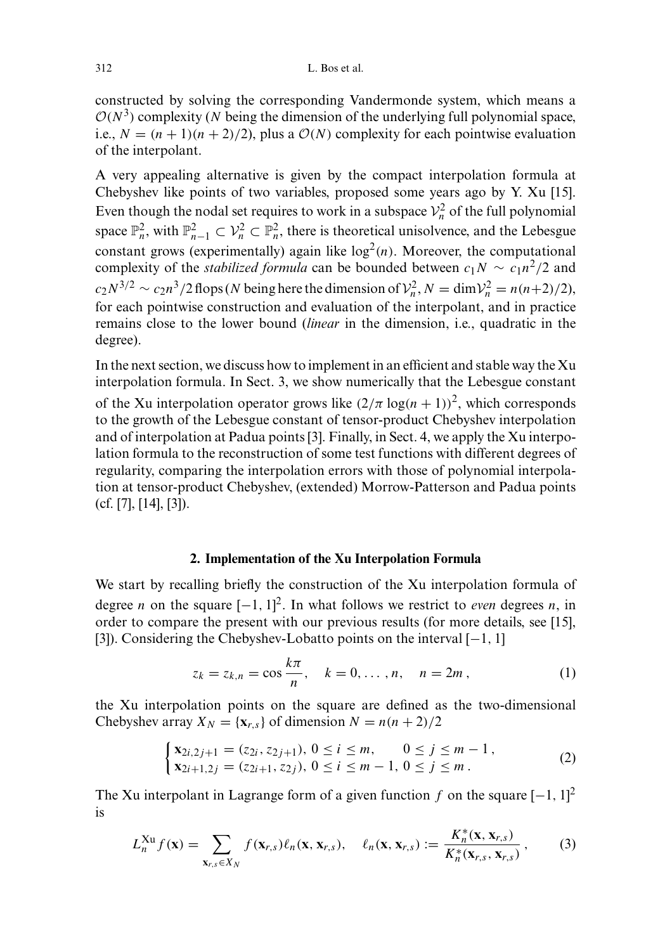constructed by solving the corresponding Vandermonde system, which means a  $O(N^3)$  complexity (N being the dimension of the underlying full polynomial space, i.e.,  $N = (n + 1)(n + 2)/2$ , plus a  $\mathcal{O}(N)$  complexity for each pointwise evaluation of the interpolant.

A very appealing alternative is given by the compact interpolation formula at Chebyshev like points of two variables, proposed some years ago by Y. Xu [15]. Even though the nodal set requires to work in a subspace  $\mathcal{V}_n^2$  of the full polynomial space  $\mathbb{P}_n^2$ , with  $\mathbb{P}_{n-1}^2 \subset \mathcal{V}_n^2 \subset \mathbb{P}_n^2$ , there is theoretical unisolvence, and the Lebesgue constant grows (experimentally) again like  $log<sup>2</sup>(n)$ . Moreover, the computational complexity of the *stabilized formula* can be bounded between  $c_1N \sim c_1n^2/2$  and  $c_2 N^{3/2} \sim c_2 n^3/2$  flops (N being here the dimension of  $\mathcal{V}_n^2$ ,  $N = \dim \mathcal{V}_n^2 = n(n+2)/2$ ), for each pointwise construction and evaluation of the interpolant, and in practice remains close to the lower bound *(linear in the dimension, i.e., quadratic in the* degree).

In the next section, we discuss how to implement in an efficient and stable way the Xu interpolation formula. In Sect. 3, we show numerically that the Lebesgue constant

of the Xu interpolation operator grows like  $(2/\pi \log(n+1))^2$ , which corresponds to the growth of the Lebesgue constant of tensor-product Chebyshev interpolation and of interpolation at Padua points [3]. Finally, in Sect. 4, we apply the Xu interpolation formula to the reconstruction of some test functions with different degrees of regularity, comparing the interpolation errors with those of polynomial interpolation at tensor-product Chebyshev, (extended) Morrow-Patterson and Padua points  $(cf. [7], [14], [3]).$ 

#### 2. Implementation of the Xu Interpolation Formula

We start by recalling briefly the construction of the Xu interpolation formula of degree *n* on the square  $[-1, 1]^2$ . In what follows we restrict to *even* degrees *n*, in order to compare the present with our previous results (for more details, see [15], [3]). Considering the Chebyshev-Lobatto points on the interval  $[-1, 1]$ 

$$
z_k = z_{k,n} = \cos \frac{k\pi}{n}, \quad k = 0, ..., n, \quad n = 2m,
$$
 (1)

the Xu interpolation points on the square are defined as the two-dimensional Chebyshev array  $X_N = \{x_{r,s}\}\$  of dimension  $N = n(n+2)/2$ 

$$
\begin{cases}\n\mathbf{x}_{2i,2j+1} = (z_{2i}, z_{2j+1}), \ 0 \le i \le m, & 0 \le j \le m-1, \\
\mathbf{x}_{2i+1,2j} = (z_{2i+1}, z_{2j}), \ 0 \le i \le m-1, \ 0 \le j \le m.\n\end{cases}
$$
\n(2)

The Xu interpolant in Lagrange form of a given function f on the square  $[-1, 1]^2$ is

$$
L_n^{Xu} f(\mathbf{x}) = \sum_{\mathbf{x}_{r,s} \in X_N} f(\mathbf{x}_{r,s}) \ell_n(\mathbf{x}, \mathbf{x}_{r,s}), \quad \ell_n(\mathbf{x}, \mathbf{x}_{r,s}) := \frac{K_n^*(\mathbf{x}, \mathbf{x}_{r,s})}{K_n^*(\mathbf{x}_{r,s}, \mathbf{x}_{r,s})}, \quad (3)
$$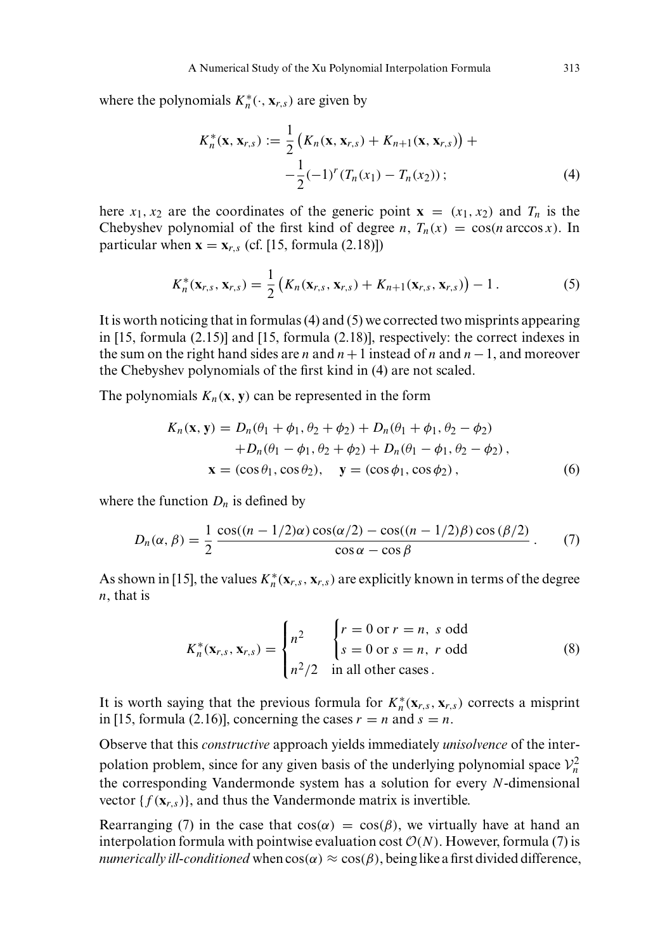where the polynomials  $K_n^*(\cdot, \mathbf{x}_{r,s})$  are given by

$$
K_n^*(\mathbf{x}, \mathbf{x}_{r,s}) := \frac{1}{2} \left( K_n(\mathbf{x}, \mathbf{x}_{r,s}) + K_{n+1}(\mathbf{x}, \mathbf{x}_{r,s}) \right) +
$$
  
 
$$
- \frac{1}{2} (-1)^r (T_n(x_1) - T_n(x_2)) ; \tag{4}
$$

here  $x_1, x_2$  are the coordinates of the generic point  $\mathbf{x} = (x_1, x_2)$  and  $T_n$  is the Chebyshev polynomial of the first kind of degree n,  $T_n(x) = \cos(n \arccos x)$ . In particular when  $\mathbf{x} = \mathbf{x}_{r,s}$  (cf. [15, formula (2.18)])

$$
K_n^*(\mathbf{x}_{r,s}, \mathbf{x}_{r,s}) = \frac{1}{2} \left( K_n(\mathbf{x}_{r,s}, \mathbf{x}_{r,s}) + K_{n+1}(\mathbf{x}_{r,s}, \mathbf{x}_{r,s}) \right) - 1. \tag{5}
$$

It is worth noticing that in formulas  $(4)$  and  $(5)$  we corrected two misprints appearing in  $[15,$  formula  $(2.15)$ ] and  $[15,$  formula  $(2.18)$ ], respectively: the correct indexes in the sum on the right hand sides are *n* and  $n+1$  instead of *n* and  $n-1$ , and moreover the Chebyshev polynomials of the first kind in (4) are not scaled.

The polynomials  $K_n(x, y)$  can be represented in the form

$$
K_n(\mathbf{x}, \mathbf{y}) = D_n(\theta_1 + \phi_1, \theta_2 + \phi_2) + D_n(\theta_1 + \phi_1, \theta_2 - \phi_2)
$$
  
+ 
$$
D_n(\theta_1 - \phi_1, \theta_2 + \phi_2) + D_n(\theta_1 - \phi_1, \theta_2 - \phi_2),
$$
  

$$
\mathbf{x} = (\cos \theta_1, \cos \theta_2), \quad \mathbf{y} = (\cos \phi_1, \cos \phi_2), \quad (6)
$$

where the function  $D_n$  is defined by

$$
D_n(\alpha, \beta) = \frac{1}{2} \frac{\cos((n - 1/2)\alpha)\cos(\alpha/2) - \cos((n - 1/2)\beta)\cos(\beta/2)}{\cos\alpha - \cos\beta}.
$$
 (7)

As shown in [15], the values  $K_n^*(\mathbf{x}_{r,s}, \mathbf{x}_{r,s})$  are explicitly known in terms of the degree  $n$ , that is

$$
K_n^*(\mathbf{x}_{r,s}, \mathbf{x}_{r,s}) = \begin{cases} n^2 & \begin{cases} r = 0 \text{ or } r = n, \text{ s odd} \\ s = 0 \text{ or } s = n, \text{ r odd} \end{cases} \\ n^2/2 & \text{in all other cases.} \end{cases}
$$
 (8)

It is worth saying that the previous formula for  $K_n^*(\mathbf{x}_{r,s}, \mathbf{x}_{r,s})$  corrects a misprint in [15, formula (2.16)], concerning the cases  $r = n$  and  $s = n$ .

Observe that this *constructive* approach yields immediately *unisolvence* of the interpolation problem, since for any given basis of the underlying polynomial space  $\mathcal{V}_n^2$ the corresponding Vandermonde system has a solution for every  $N$ -dimensional vector  $\{f(\mathbf{x}_{r,s})\}$ , and thus the Vandermonde matrix is invertible.

Rearranging (7) in the case that  $cos(\alpha) = cos(\beta)$ , we virtually have at hand an interpolation formula with pointwise evaluation cost  $\mathcal{O}(N)$ . However, formula (7) is num erically ill-conditioned when  $cos(\alpha) \approx cos(\beta)$ , being like a first divided difference,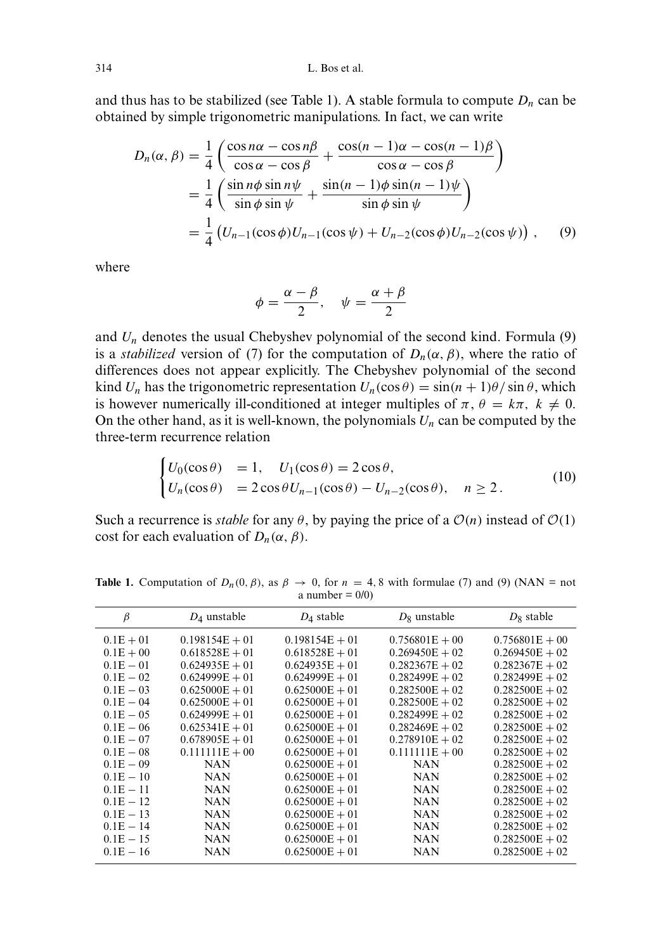and thus has to be stabilized (see Table 1). A stable formula to compute  $D_n$  can be obtained by simple trigonometric manipulations. In fact, we can write

$$
D_n(\alpha, \beta) = \frac{1}{4} \left( \frac{\cos n\alpha - \cos n\beta}{\cos \alpha - \cos \beta} + \frac{\cos(n-1)\alpha - \cos(n-1)\beta}{\cos \alpha - \cos \beta} \right)
$$
  
= 
$$
\frac{1}{4} \left( \frac{\sin n\phi \sin n\psi}{\sin \phi \sin \psi} + \frac{\sin(n-1)\phi \sin(n-1)\psi}{\sin \phi \sin \psi} \right)
$$
  
= 
$$
\frac{1}{4} \left( U_{n-1}(\cos \phi)U_{n-1}(\cos \psi) + U_{n-2}(\cos \phi)U_{n-2}(\cos \psi) \right), \quad (9)
$$

where

$$
\phi = \frac{\alpha - \beta}{2}, \quad \psi = \frac{\alpha + \beta}{2}
$$

and  $U_n$  denotes the usual Chebyshev polynomial of the second kind. Formula (9) is a *stabilized* version of (7) for the computation of  $D_n(\alpha, \beta)$ , where the ratio of differences does not appear explicitly. The Chebyshev polynomial of the second kind  $U_n$  has the trigonometric representation  $U_n(\cos \theta) = \sin((n+1)\theta)/\sin \theta$ , which is however numerically ill-conditioned at integer multiples of  $\pi$ ,  $\theta = k\pi$ ,  $k \neq 0$ . On the other hand, as it is well-known, the polynomials  $U_n$  can be computed by the three-term recurrence relation

$$
\begin{cases}\nU_0(\cos \theta) = 1, & U_1(\cos \theta) = 2\cos \theta, \\
U_n(\cos \theta) = 2\cos \theta U_{n-1}(\cos \theta) - U_{n-2}(\cos \theta), & n \ge 2.\n\end{cases}
$$
\n(10)

Such a recurrence is *stable* for any  $\theta$ , by paying the price of a  $\mathcal{O}(n)$  instead of  $\mathcal{O}(1)$ cost for each evaluation of  $D_n(\alpha, \beta)$ .

| β            | $D_4$ unstable   | $D_4$ stable     | $D_8$ unstable   | $D_8$ stable     |
|--------------|------------------|------------------|------------------|------------------|
| $0.1E + 01$  | $0.198154E + 01$ | $0.198154E + 01$ | $0.756801E + 00$ | $0.756801E + 00$ |
| $0.1E + 00$  | $0.618528E + 01$ | $0.618528E + 01$ | $0.269450E + 02$ | $0.269450E + 02$ |
| $0.1E - 01$  | $0.624935E + 01$ | $0.624935E + 01$ | $0.282367E + 02$ | $0.282367E + 02$ |
| $0.1E - 02$  | $0.624999E + 01$ | $0.624999E + 01$ | $0.282499E + 02$ | $0.282499E + 02$ |
| $0.1E - 03$  | $0.625000E + 01$ | $0.625000E + 01$ | $0.282500E + 02$ | $0.282500E + 02$ |
| $0.1E - 04$  | $0.625000E + 01$ | $0.625000E + 01$ | $0.282500E + 02$ | $0.282500E + 02$ |
| $0.1E - 0.5$ | $0.624999E + 01$ | $0.625000E + 01$ | $0.282499E + 02$ | $0.282500E + 02$ |
| $0.1E - 06$  | $0.625341E + 01$ | $0.625000E + 01$ | $0.282469E + 02$ | $0.282500E + 02$ |
| $0.1E - 07$  | $0.678905E + 01$ | $0.625000E + 01$ | $0.278910E + 02$ | $0.282500E + 02$ |
| $0.1E - 08$  | $0.111111E + 00$ | $0.625000E + 01$ | $0.111111E + 00$ | $0.282500E + 02$ |
| $0.1E - 0.9$ | <b>NAN</b>       | $0.625000E + 01$ | <b>NAN</b>       | $0.282500E + 02$ |
| $0.1E - 10$  | <b>NAN</b>       | $0.625000E + 01$ | <b>NAN</b>       | $0.282500E + 02$ |
| $0.1E - 11$  | <b>NAN</b>       | $0.625000E + 01$ | <b>NAN</b>       | $0.282500E + 02$ |
| $0.1E - 12$  | <b>NAN</b>       | $0.625000E + 01$ | <b>NAN</b>       | $0.282500E + 02$ |
| $0.1E - 13$  | <b>NAN</b>       | $0.625000E + 01$ | <b>NAN</b>       | $0.282500E + 02$ |
| $0.1E - 14$  | NAN              | $0.625000E + 01$ | <b>NAN</b>       | $0.282500E + 02$ |
| $0.1E - 15$  | <b>NAN</b>       | $0.625000E + 01$ | <b>NAN</b>       | $0.282500E + 02$ |
| $0.1E - 16$  | NAN              | $0.625000E + 01$ | NAN              | $0.282500E + 02$ |

**Table 1.** Computation of  $D_n(0, \beta)$ , as  $\beta \to 0$ , for  $n = 4, 8$  with formulae (7) and (9) (NAN = not a number =  $0/0$ )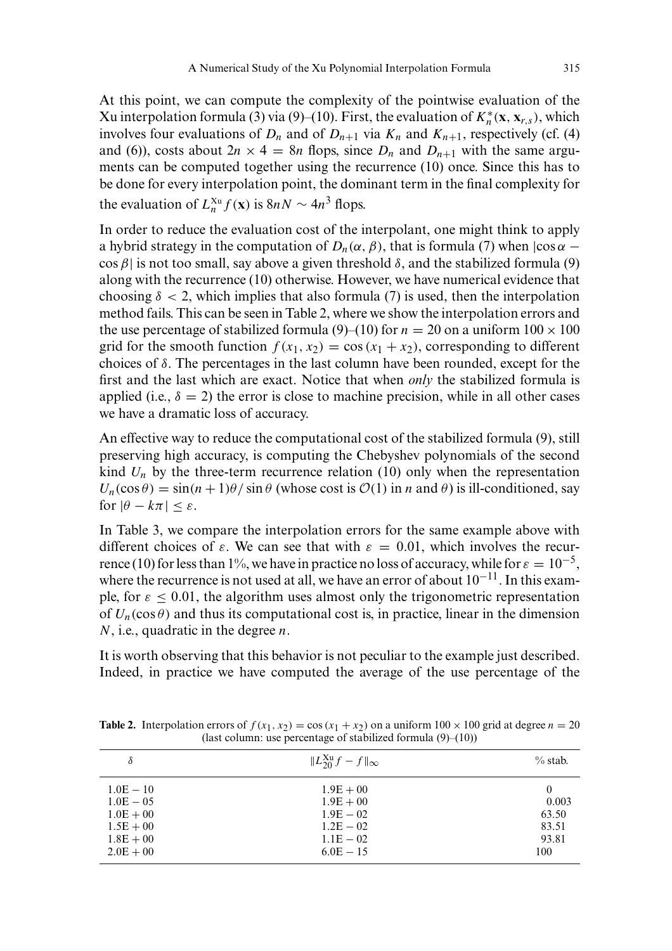At this point, we can compute the complexity of the pointwise evaluation of the Xu interpolation formula (3) via (9)–(10). First, the evaluation of  $K_n^*(\mathbf{x}, \mathbf{x}_{r,s})$ , which involves four evaluations of  $D_n$  and of  $D_{n+1}$  via  $K_n$  and  $K_{n+1}$ , respectively (cf. (4) and (6)), costs about  $2n \times 4 = 8n$  flops, since  $D_n$  and  $D_{n+1}$  with the same arguments can be computed together using the recurrence  $(10)$  once. Since this has to be done for every interpolation point, the dominant term in the final complexity for the evaluation of  $L_n^{x_u} f(\mathbf{x})$  is  $8nN \sim 4n^3$  flops.

In order to reduce the evaluation cost of the interpolant, one might think to apply a hybrid strategy in the computation of  $D_n(\alpha, \beta)$ , that is formula (7) when  $|\cos \alpha - \beta|$ cos  $\beta$ | is not too small, say above a given threshold  $\delta$ , and the stabilized formula (9) along with the recurrence  $(10)$  otherwise. However, we have numerical evidence that choosing  $\delta$  < 2, which implies that also formula (7) is used, then the interpolation method fails. This can be seen in Table 2, where we show the interpolation errors and the use percentage of stabilized formula (9)–(10) for  $n = 20$  on a uniform  $100 \times 100$ grid for the smooth function  $f(x_1, x_2) = \cos(x_1 + x_2)$ , corresponding to different choices of  $\delta$ . The percentages in the last column have been rounded, except for the first and the last which are exact. Notice that when *only* the stabilized formula is applied (i.e.,  $\delta = 2$ ) the error is close to machine precision, while in all other cases we have a dramatic loss of accuracy.

An effective way to reduce the computational cost of the stabilized formula (9), still preserving high accuracy, is computing the Chebyshev polynomials of the second kind  $U_n$  by the three-term recurrence relation (10) only when the representation  $U_n(\cos \theta) = \sin((n+1)\theta)/\sin \theta$  (whose cost is  $\mathcal{O}(1)$  in n and  $\theta$ ) is ill-conditioned, say for  $|\theta - k\pi| \leq \varepsilon$ .

In Table 3, we compare the interpolation errors for the same example above with different choices of  $\varepsilon$ . We can see that with  $\varepsilon = 0.01$ , which involves the recurrence (10) for less than 1%, we have in practice no loss of accuracy, while for  $\varepsilon = 10^{-5}$ , where the recurrence is not used at all, we have an error of about  $10^{-11}$ . In this example, for  $\varepsilon \le 0.01$ , the algorithm uses almost only the trigonometric representation of  $U_n(\cos \theta)$  and thus its computational cost is, in practice, linear in the dimension  $N$ , i.e., quadratic in the degree  $n$ .

It is worth observing that this behavior is not peculiar to the example just described. Indeed, in practice we have computed the average of the use percentage of the

| δ           | $\Vert L_{20}^{\text{Xu}}f-f\Vert_{\infty}$ | $\%$ stab.     |
|-------------|---------------------------------------------|----------------|
| $1.0E - 10$ | $1.9E + 00$                                 | $\overline{0}$ |
| $1.0E - 05$ | $1.9E + 00$                                 | 0.003          |
| $1.0E + 00$ | $1.9E - 02$                                 | 63.50          |
| $1.5E + 00$ | $1.2E - 02$                                 | 83.51          |
| $1.8E + 00$ | $1.1E - 02$                                 | 93.81          |
| $2.0E + 00$ | $6.0E - 15$                                 | 100            |

**Table 2.** Interpolation errors of  $f(x_1, x_2) = \cos(x_1 + x_2)$  on a uniform  $100 \times 100$  grid at degree  $n = 20$ (last column: use percentage of stabilized formula  $(9)$ – $(10)$ )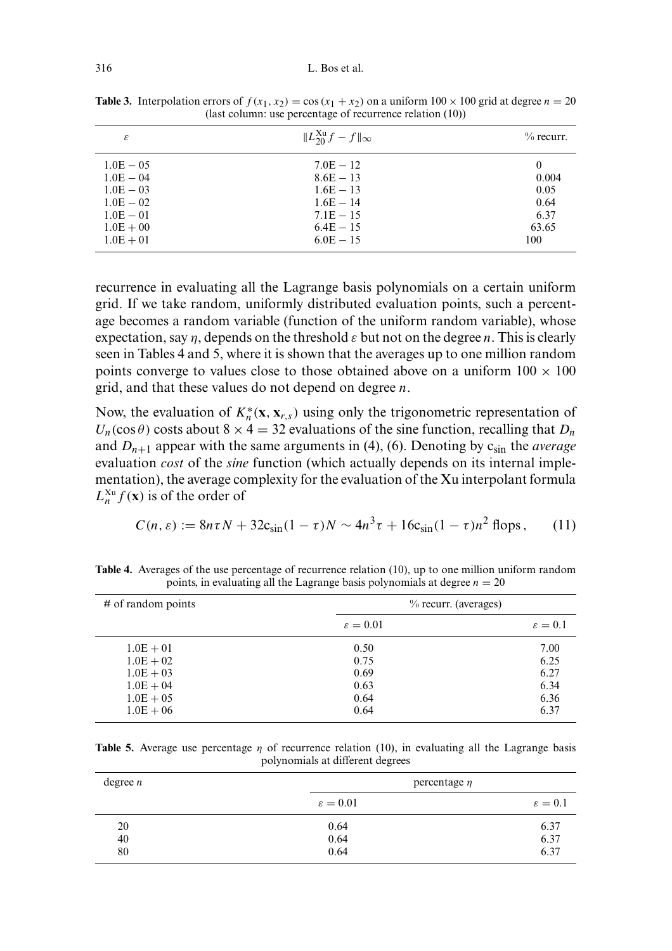| ε                                                                                      | $\Vert L_{20}^{\text{Xu}}f-f\Vert_{\infty}$                                            | $\%$ recurr.                                       |
|----------------------------------------------------------------------------------------|----------------------------------------------------------------------------------------|----------------------------------------------------|
| $1.0E - 05$<br>$1.0E - 04$<br>$1.0E - 03$<br>$1.0E - 02$<br>$1.0E - 01$<br>$1.0E + 00$ | $7.0E - 12$<br>$8.6E - 13$<br>$1.6E - 13$<br>$1.6E - 14$<br>$7.1E - 15$<br>$6.4E - 15$ | $\theta$<br>0.004<br>0.05<br>0.64<br>6.37<br>63.65 |
| $1.0E + 01$                                                                            | $6.0E - 15$                                                                            | 100                                                |
|                                                                                        |                                                                                        |                                                    |

**Table 3.** Interpolation errors of  $f(x_1, x_2) = \cos(x_1 + x_2)$  on a uniform  $100 \times 100$  grid at degree  $n = 20$ (last column: use percentage of recurrence relation  $(10)$ )

recurrence in evaluating all the Lagrange basis polynomials on a certain uniform grid. If we take random, uniformly distributed evaluation points, such a percentage becomes a random variable (function of the uniform random variable), whose expectation, say  $\eta$ , depends on the threshold  $\varepsilon$  but not on the degree n. This is clearly seen in Tables 4 and 5, where it is shown that the averages up to one million random points converge to values close to those obtained above on a uniform  $100 \times 100$ grid, and that these values do not depend on degree  $n$ .

Now, the evaluation of  $K_n^*(\mathbf{x}, \mathbf{x}_{r,s})$  using only the trigonometric representation of  $U_n(\cos\theta)$  costs about  $8 \times 4 = 32$  evaluations of the sine function, recalling that  $D_n$ and  $D_{n+1}$  appear with the same arguments in (4), (6). Denoting by  $c_{\text{sin}}$  the *average* evaluation *cost* of the *sine* function (which actually depends on its internal implementation), the average complexity for the evaluation of the Xu interpolant formula  $L_n^{\text{x}_\text{u}} f(\mathbf{x})$  is of the order of

$$
C(n, \varepsilon) := 8n\tau N + 32c_{\sin}(1-\tau)N \sim 4n^3\tau + 16c_{\sin}(1-\tau)n^2 \text{ flops}, \qquad (11)
$$

| points, in evaluating an the Lagrange basis polynomials at degree $n = 20$ |                      |                         |  |  |
|----------------------------------------------------------------------------|----------------------|-------------------------|--|--|
| $#$ of random points                                                       |                      | $\%$ recurr. (averages) |  |  |
|                                                                            | $\varepsilon = 0.01$ | $\varepsilon = 0.1$     |  |  |
| $1.0E + 01$                                                                | 0.50                 | 7.00                    |  |  |
| $1.0E + 02$                                                                | 0.75                 | 6.25                    |  |  |
| $1.0E + 03$                                                                | 0.69                 | 6.27                    |  |  |
| $1.0E + 04$                                                                | 0.63                 | 6.34                    |  |  |
| $1.0E + 05$                                                                | 0.64                 | 6.36                    |  |  |
| $1.0E + 06$                                                                | 0.64                 | 6.37                    |  |  |

Table 4. Averages of the use percentage of recurrence relation  $(10)$ , up to one million uniform random points, in evaluating all the Lagrange basis polynomials at degree  $n = 20$ 

**Table 5.** Average use percentage  $\eta$  of recurrence relation (10), in evaluating all the Lagrange basis polynomials at different degrees

| degree $n$ | percentage $\eta$    |                     |
|------------|----------------------|---------------------|
|            | $\varepsilon = 0.01$ | $\varepsilon = 0.1$ |
| 20         | 0.64                 | 6.37                |
| 40         | 0.64                 | 6.37                |
| 80         | 0.64                 | 6.37                |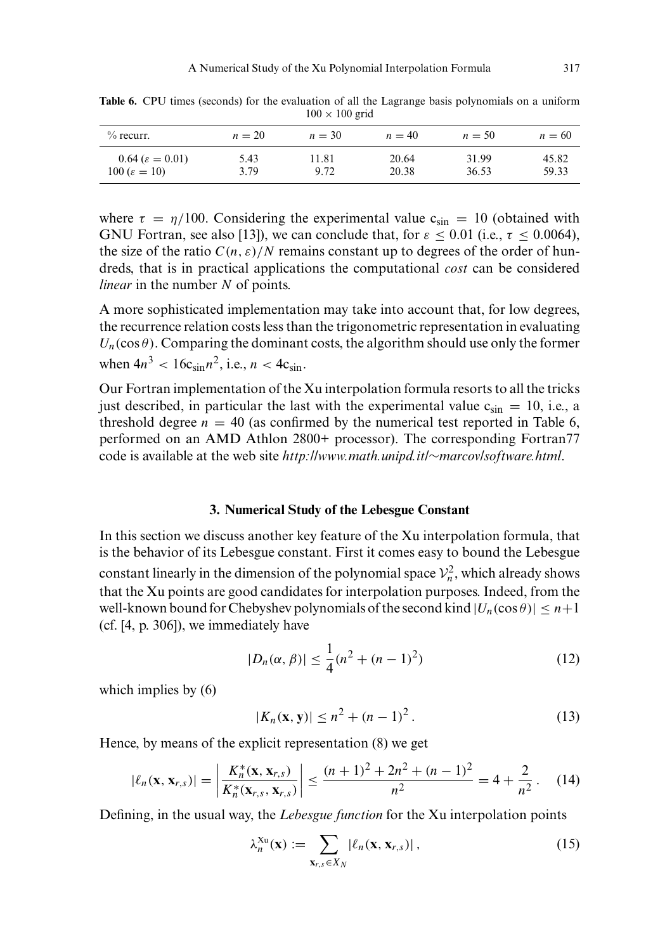| $\%$ recurr.                 | $n=20$ | $n = 30$ | $n=40$ | $n = 50$ | $n = 60$ |
|------------------------------|--------|----------|--------|----------|----------|
| $0.64\ (\varepsilon = 0.01)$ | 5.43   | 11.81    | 20.64  | 31.99    | 45.82    |
| $100 (\varepsilon = 10)$     | 3.79   | 9.72     | 20.38  | 36.53    | 59.33    |

**Table 6.** CPU times (seconds) for the evaluation of all the Lagrange basis polynomials on a uniform  $100 \times 100$  grid

where  $\tau = \eta/100$ . Considering the experimental value  $c_{\sin} = 10$  (obtained with GNU Fortran, see also [13]), we can conclude that, for  $\varepsilon \le 0.01$  (i.e.,  $\tau \le 0.0064$ ), the size of the ratio  $C(n, \varepsilon)/N$  remains constant up to degrees of the order of hundreds, that is in practical applications the computational *cost* can be considered *linear* in the number  $N$  of points.

A more sophisticated implementation may take into account that, for low degrees, the recurrence relation costs less than the trigonometric representation in evaluating  $U_n(\cos\theta)$ . Comparing the dominant costs, the algorithm should use only the former when  $4n^3 < 16c_{\sin}n^2$ , i.e.,  $n < 4c_{\sin}$ .

Our Fortran implementation of the Xu interpolation formula resorts to all the tricks just described, in particular the last with the experimental value  $c_{\rm sin} = 10$ , i.e., a threshold degree  $n = 40$  (as confirmed by the numerical test reported in Table 6, performed on an AMD Athlon 2800+ processor). The corresponding Fortran77 code is available at the web site  $http://www.math.unipd.it/~marcov/software.html$ .

#### 3. Numerical Study of the Lebesgue Constant

In this section we discuss another key feature of the Xu interpolation formula, that is the behavior of its Lebesgue constant. First it comes easy to bound the Lebesgue constant linearly in the dimension of the polynomial space  $\mathcal{V}_n^2$ , which already shows that the Xu points are good candidates for interpolation purposes. Indeed, from the well-known bound for Chebyshev polynomials of the second kind  $|U_n(\cos\theta)| \leq n+1$ (cf.  $[4, p. 306]$ ), we immediately have

$$
|D_n(\alpha, \beta)| \le \frac{1}{4}(n^2 + (n-1)^2)
$$
 (12)

which implies by  $(6)$ 

$$
|K_n(\mathbf{x}, \mathbf{y})| \le n^2 + (n-1)^2. \tag{13}
$$

Hence, by means of the explicit representation (8) we get

$$
|\ell_n(\mathbf{x}, \mathbf{x}_{r,s})| = \left| \frac{K_n^*(\mathbf{x}, \mathbf{x}_{r,s})}{K_n^*(\mathbf{x}_{r,s}, \mathbf{x}_{r,s})} \right| \le \frac{(n+1)^2 + 2n^2 + (n-1)^2}{n^2} = 4 + \frac{2}{n^2}.
$$
 (14)

Defining, in the usual way, the Lebesgue function for the Xu interpolation points

$$
\lambda_n^{\mathbf{X} \mathbf{u}}(\mathbf{x}) := \sum_{\mathbf{X}_{r,s} \in X_N} |\ell_n(\mathbf{x}, \mathbf{x}_{r,s})|, \qquad (15)
$$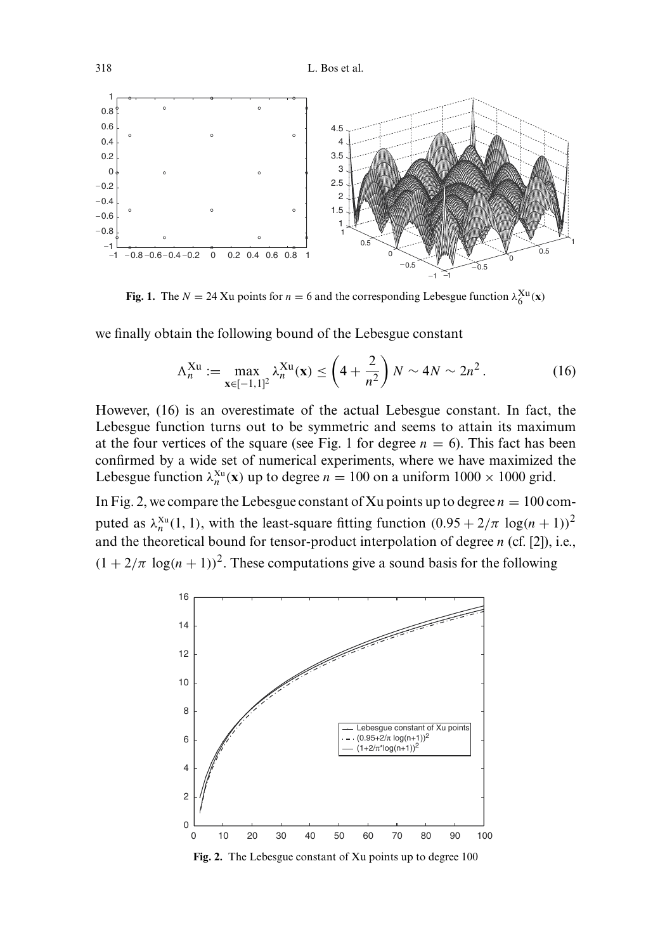

Fig. 1. The  $N = 24$  Xu points for  $n = 6$  and the corresponding Lebesgue function  $\lambda_6^{Xu}(x)$ 

we finally obtain the following bound of the Lebesgue constant

$$
\Lambda_n^{\text{Xu}} := \max_{\mathbf{x} \in [-1,1]^2} \lambda_n^{\text{Xu}}(\mathbf{x}) \le \left(4 + \frac{2}{n^2}\right) N \sim 4N \sim 2n^2. \tag{16}
$$

However, (16) is an overestimate of the actual Lebesgue constant. In fact, the Lebesgue function turns out to be symmetric and seems to attain its maximum at the four vertices of the square (see Fig. 1 for degree  $n = 6$ ). This fact has been confirmed by a wide set of numerical experiments, where we have maximized the Lebesgue function  $\lambda_n^{x_0}(\mathbf{x})$  up to degree  $n = 100$  on a uniform  $1000 \times 1000$  grid.

In Fig. 2, we compare the Lebesgue constant of Xu points up to degree  $n = 100$  computed as  $\lambda_n^{x_0}(1, 1)$ , with the least-square fitting function  $(0.95 + 2/\pi \log(n + 1))^2$ and the theoretical bound for tensor-product interpolation of degree  $n$  (cf. [2]), i.e.,  $(1 + 2/\pi \log(n + 1))^2$ . These computations give a sound basis for the following



Fig. 2. The Lebesgue constant of Xu points up to degree 100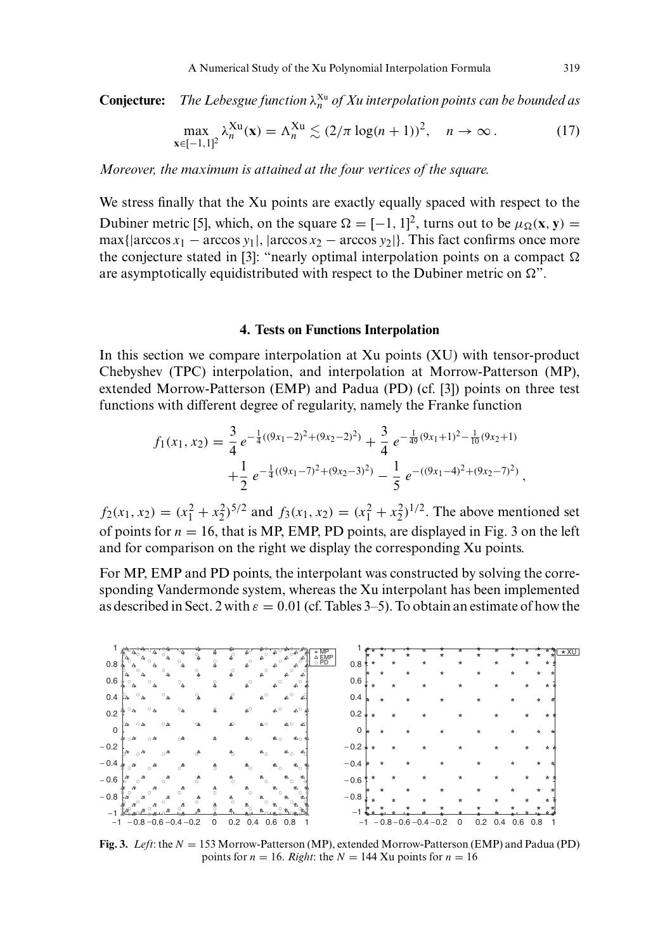The Lebesgue function  $\lambda_n^{\text{Xu}}$  of Xu interpolation points can be bounded as **Conjecture:** 

$$
\max_{\mathbf{x}\in[-1,1]^2} \lambda_n^{\mathbf{X}\mathbf{u}}(\mathbf{x}) = \Lambda_n^{\mathbf{X}\mathbf{u}} \lesssim (2/\pi \log(n+1))^2, \quad n \to \infty.
$$
 (17)

Moreover, the maximum is attained at the four vertices of the square.

We stress finally that the Xu points are exactly equally spaced with respect to the Dubiner metric [5], which, on the square  $\Omega = [-1, 1]^2$ , turns out to be  $\mu_{\Omega}(\mathbf{x}, \mathbf{y}) =$  $\max{\{|arccos x_1 - arccos y_1|, |arccos x_2 - arccos y_2|\}}$ . This fact confirms once more the conjecture stated in [3]: "nearly optimal interpolation points on a compact  $\Omega$ are asymptotically equidistributed with respect to the Dubiner metric on  $\Omega$ ".

### **4. Tests on Functions Interpolation**

In this section we compare interpolation at Xu points (XU) with tensor-product Chebyshev (TPC) interpolation, and interpolation at Morrow-Patterson (MP), extended Morrow-Patterson (EMP) and Padua (PD) (cf. [3]) points on three test functions with different degree of regularity, namely the Franke function

$$
f_1(x_1, x_2) = \frac{3}{4} e^{-\frac{1}{4}((9x_1 - 2)^2 + (9x_2 - 2)^2)} + \frac{3}{4} e^{-\frac{1}{49}(9x_1 + 1)^2 - \frac{1}{10}(9x_2 + 1)} + \frac{1}{2} e^{-\frac{1}{4}((9x_1 - 7)^2 + (9x_2 - 3)^2)} - \frac{1}{5} e^{-((9x_1 - 4)^2 + (9x_2 - 7)^2)}
$$

 $f_2(x_1, x_2) = (x_1^2 + x_2^2)^{5/2}$  and  $f_3(x_1, x_2) = (x_1^2 + x_2^2)^{1/2}$ . The above mentioned set of points for  $n = 16$ , that is MP, EMP, PD points, are displayed in Fig. 3 on the left and for comparison on the right we display the corresponding Xu points.

For MP, EMP and PD points, the interpolant was constructed by solving the corresponding Vandermonde system, whereas the Xu interpolant has been implemented as described in Sect. 2 with  $\varepsilon = 0.01$  (cf. Tables 3–5). To obtain an estimate of how the



Fig. 3. Left: the  $N = 153$  Morrow-Patterson (MP), extended Morrow-Patterson (EMP) and Padua (PD) points for  $n = 16$ . Right: the  $N = 144$  Xu points for  $n = 16$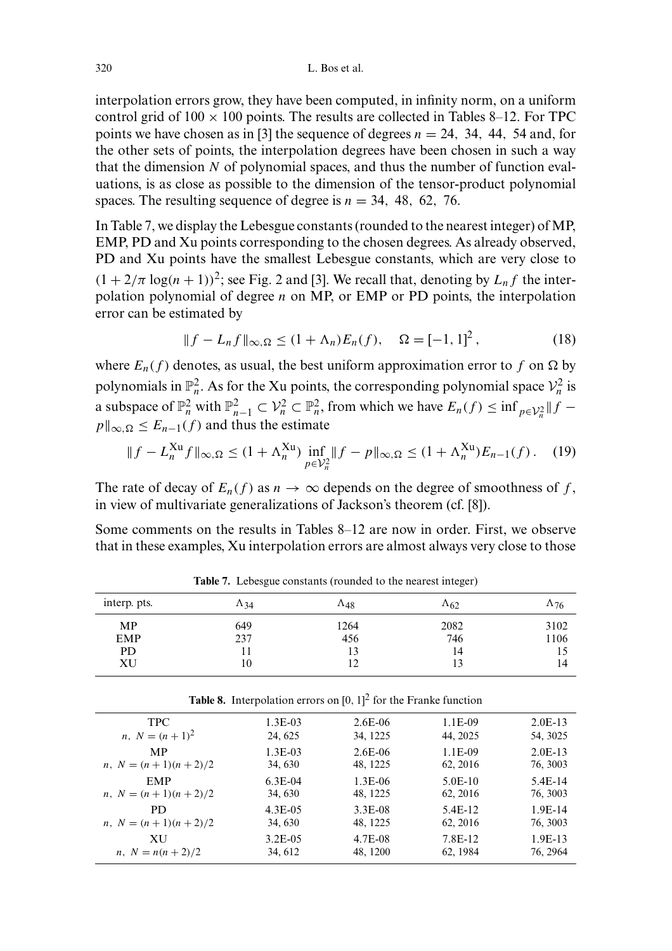interpolation errors grow, they have been computed, in infinity norm, on a uniform control grid of  $100 \times 100$  points. The results are collected in Tables 8–12. For TPC points we have chosen as in [3] the sequence of degrees  $n = 24$ , 34, 44, 54 and, for the other sets of points, the interpolation degrees have been chosen in such a way that the dimension N of polynomial spaces, and thus the number of function evaluations, is as close as possible to the dimension of the tensor-product polynomial spaces. The resulting sequence of degree is  $n = 34, 48, 62, 76$ .

In Table 7, we display the Lebesgue constants (rounded to the nearest integer) of MP, EMP, PD and Xu points corresponding to the chosen degrees. As already observed, PD and Xu points have the smallest Lebesgue constants, which are very close to  $(1 + 2/\pi \log(n + 1))^2$ ; see Fig. 2 and [3]. We recall that, denoting by  $L_n f$  the interpolation polynomial of degree  $n$  on MP, or EMP or PD points, the interpolation error can be estimated by

$$
||f - L_n f||_{\infty, \Omega} \le (1 + \Lambda_n) E_n(f), \quad \Omega = [-1, 1]^2,
$$
 (18)

where  $E_n(f)$  denotes, as usual, the best uniform approximation error to f on  $\Omega$  by polynomials in  $\mathbb{P}_n^2$ . As for the Xu points, the corresponding polynomial space  $\mathcal{V}_n^2$  is a subspace of  $\mathbb{P}_n^2$  with  $\mathbb{P}_{n-1}^2 \subset \mathcal{V}_n^2 \subset \mathbb{P}_n^2$ , from which we have  $E_n(f) \le \inf_{p \in \mathcal{V}_n^2} ||f$  $p||_{\infty,\Omega} \leq E_{n-1}(f)$  and thus the estimate

$$
||f - L_n^{\text{Xu}} f||_{\infty, \Omega} \le (1 + \Lambda_n^{\text{Xu}}) \inf_{p \in \mathcal{V}_n^2} ||f - p||_{\infty, \Omega} \le (1 + \Lambda_n^{\text{Xu}}) E_{n-1}(f). \tag{19}
$$

The rate of decay of  $E_n(f)$  as  $n \to \infty$  depends on the degree of smoothness of f, in view of multivariate generalizations of Jackson's theorem (cf. [8]).

Some comments on the results in Tables  $8-12$  are now in order. First, we observe that in these examples, Xu interpolation errors are almost always very close to those

| interp. pts. | $\Lambda_{34}$ | $\Lambda_{48}$ | $\Lambda_{62}$ | $\Lambda$ 76 |  |
|--------------|----------------|----------------|----------------|--------------|--|
| <b>MP</b>    | 649            | 1264           | 2082           | 3102         |  |
| EMP          | 237            | 456            | 746            | 1106         |  |
| <b>PD</b>    |                | 13             | 14             |              |  |
| ΧU           | l0             | ר ו            |                | 14           |  |

Table 7. Lebesgue constants (rounded to the nearest integer)

| <b>Table 8.</b> Interpolation errors on $[0, 1]^2$ for the Franke function |              |           |           |           |  |  |
|----------------------------------------------------------------------------|--------------|-----------|-----------|-----------|--|--|
| <b>TPC</b>                                                                 | $1.3E-03$    | $2.6E-06$ | $1.1E-09$ | $2.0E-13$ |  |  |
| <i>n</i> , $N = (n+1)^2$                                                   | 24, 625      | 34, 1225  | 44, 2025  | 54, 3025  |  |  |
| <b>MP</b>                                                                  | $1.3E-03$    | $2.6E-06$ | $1.1E-09$ | $2.0E-13$ |  |  |
| $n, N = (n + 1)(n + 2)/2$                                                  | 34, 630      | 48, 1225  | 62, 2016  | 76, 3003  |  |  |
| <b>EMP</b>                                                                 | $6.3E-04$    | $1.3E-06$ | $5.0E-10$ | $5.4E-14$ |  |  |
| $n, N = (n + 1)(n + 2)/2$                                                  | 34, 630      | 48, 1225  | 62, 2016  | 76, 3003  |  |  |
| PD.                                                                        | $4.3E-0.5$   | 3.3E-08   | 5.4E-12   | $1.9E-14$ |  |  |
| $n, N = (n + 1)(n + 2)/2$                                                  | 34, 630      | 48, 1225  | 62, 2016  | 76, 3003  |  |  |
| XU                                                                         | $3.2E - 0.5$ | 4.7E-08   | 7.8E-12   | $1.9E-13$ |  |  |
| $n, N = n(n+2)/2$                                                          | 34, 612      | 48, 1200  | 62, 1984  | 76, 2964  |  |  |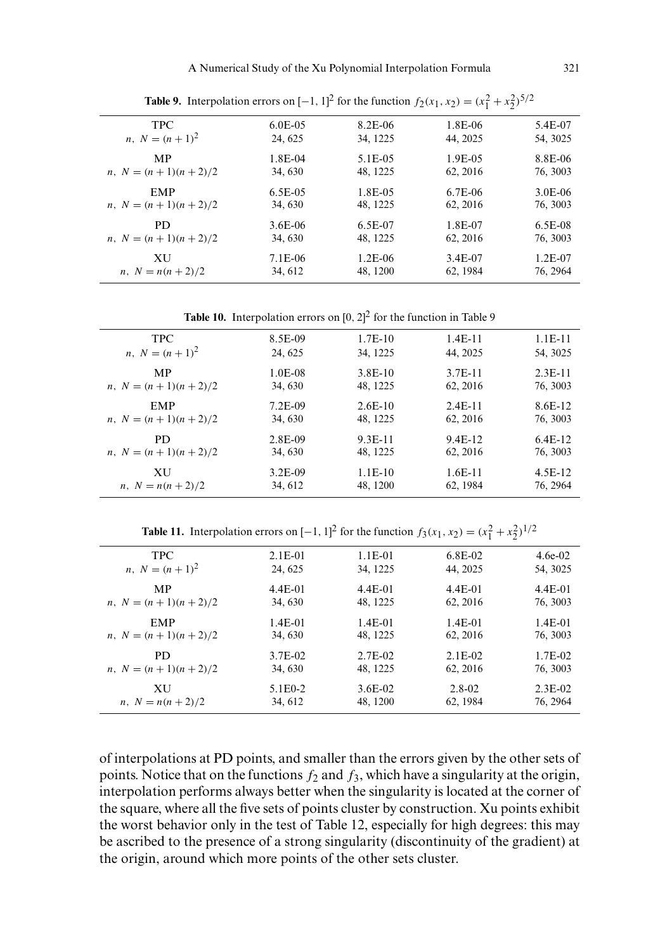| <b>TPC</b>                        | $6.0E-0.5$ | 8.2E-06   | 1.8E-06   | 5.4E-07   |
|-----------------------------------|------------|-----------|-----------|-----------|
| <i>n</i> , $N = (n+1)^2$          | 24.625     | 34, 1225  | 44, 2025  | 54, 3025  |
| <b>MP</b>                         | 1.8E-04    | 5.1E-05   | 1.9E-05   | 8.8E-06   |
| <i>n</i> , $N = (n + 1)(n + 2)/2$ | 34, 630    | 48, 1225  | 62, 2016  | 76, 3003  |
| <b>EMP</b>                        | $6.5E-0.5$ | 1.8E-05   | $6.7E-06$ | $3.0E-06$ |
| <i>n</i> , $N = (n + 1)(n + 2)/2$ | 34, 630    | 48, 1225  | 62, 2016  | 76, 3003  |
| PD.                               | $3.6E-06$  | $6.5E-07$ | 1.8E-07   | $6.5E-08$ |
| $n, N = (n + 1)(n + 2)/2$         | 34, 630    | 48, 1225  | 62, 2016  | 76, 3003  |
| <b>XU</b>                         | 7.1E-06    | $1.2E-06$ | 3.4E-07   | $1.2E-07$ |
| <i>n</i> , $N = n(n+2)/2$         | 34, 612    | 48, 1200  | 62, 1984  | 76, 2964  |

**Table 9.** Interpolation errors on  $[-1, 1]^2$  for the function  $f_2(x_1, x_2) = (x_1^2 + x_2^2)^{5/2}$ 

**Table 10.** Interpolation errors on  $[0, 2]^2$  for the function in Table 9

| <b>TPC</b>                        | 8.5E-09   | $1.7E-10$ | $1.4E-11$ | $1.1E-11$ |
|-----------------------------------|-----------|-----------|-----------|-----------|
| <i>n</i> , $N = (n + 1)^2$        | 24, 625   | 34, 1225  | 44, 2025  | 54, 3025  |
| MP                                | 1.0E-08   | $3.8E-10$ | $3.7E-11$ | $2.3E-11$ |
| <i>n</i> , $N = (n + 1)(n + 2)/2$ | 34, 630   | 48, 1225  | 62, 2016  | 76, 3003  |
| <b>EMP</b>                        | 7.2E-09   | $2.6E-10$ | $2.4E-11$ | 8.6E-12   |
| <i>n</i> , $N = (n + 1)(n + 2)/2$ | 34, 630   | 48, 1225  | 62, 2016  | 76, 3003  |
| PD.                               | 2.8E-09   | 9.3E-11   | 9.4E-12   | $6.4E-12$ |
| <i>n</i> , $N = (n + 1)(n + 2)/2$ | 34, 630   | 48, 1225  | 62, 2016  | 76, 3003  |
| XU                                | $3.2E-09$ | $1.1E-10$ | $1.6E-11$ | 4.5E-12   |
| $n, N = n(n+2)/2$                 | 34, 612   | 48, 1200  | 62, 1984  | 76, 2964  |

**Table 11.** Interpolation errors on  $[-1, 1]^2$  for the function  $f_3(x_1, x_2) = (x_1^2 + x_2^2)^{1/2}$ 

| <b>TPC</b>                        | $2.1E-01$             | $1.1E-01$ | $6.8E-02$ | $4.6e-02$ |
|-----------------------------------|-----------------------|-----------|-----------|-----------|
| <i>n</i> , $N = (n + 1)^2$        | 24, 625               | 34, 1225  | 44, 2025  | 54, 3025  |
| <b>MP</b>                         | 4.4E-01               | $4.4E-01$ | $4.4E-01$ | $4.4E-01$ |
| <i>n</i> , $N = (n + 1)(n + 2)/2$ | 34, 630               | 48, 1225  | 62, 2016  | 76, 3003  |
| <b>EMP</b>                        | $1.4E-01$             | $1.4E-01$ | $1.4E-01$ | $1.4E-01$ |
| $n, N = (n + 1)(n + 2)/2$         | 34, 630               | 48, 1225  | 62, 2016  | 76, 3003  |
| PD.                               | 3.7E-02               | $2.7E-02$ | $2.1E-02$ | 1.7E-02   |
| <i>n</i> , $N = (n + 1)(n + 2)/2$ | 34, 630               | 48, 1225  | 62, 2016  | 76, 3003  |
| XU                                | 5.1 E <sub>0</sub> -2 | $3.6E-02$ | 2.8-02    | $2.3E-02$ |
| $n, N = n(n+2)/2$                 | 34, 612               | 48, 1200  | 62, 1984  | 76, 2964  |

of interpolations at PD points, and smaller than the errors given by the other sets of points. Notice that on the functions  $f_2$  and  $f_3$ , which have a singularity at the origin, interpolation performs always better when the singularity is located at the corner of the square, where all the five sets of points cluster by construction. Xu points exhibit the worst behavior only in the test of Table 12, especially for high degrees: this may be ascribed to the presence of a strong singularity (discontinuity of the gradient) at the origin, around which more points of the other sets cluster.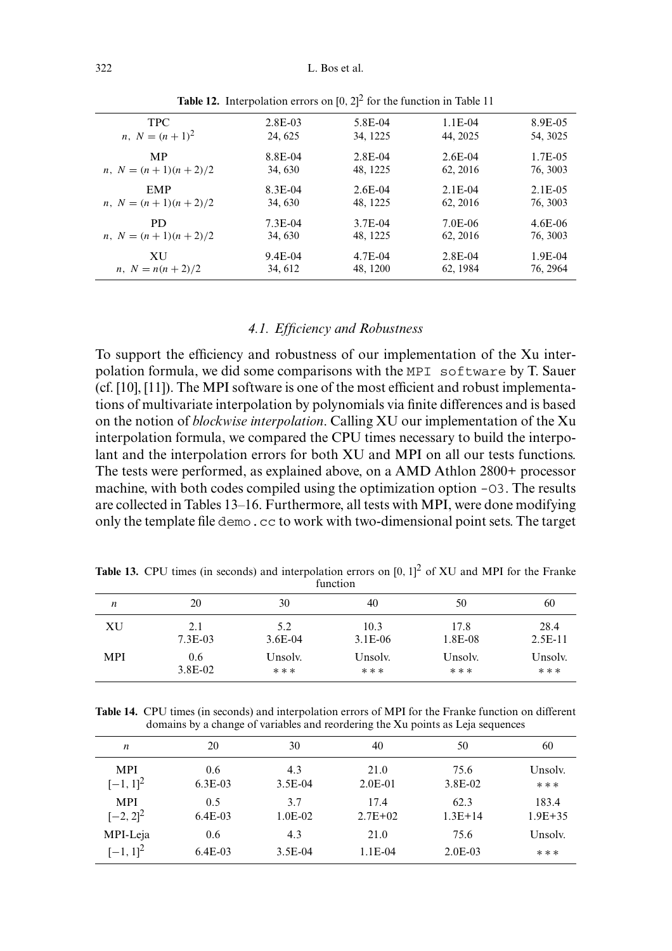| <b>TPC</b>                        | $2.8E-03$ | 5.8E-04   | $1.1E-04$ | 8.9E-05    |
|-----------------------------------|-----------|-----------|-----------|------------|
| <i>n</i> , $N = (n+1)^2$          | 24, 625   | 34, 1225  | 44, 2025  | 54, 3025   |
| <b>MP</b>                         | 8.8E-04   | $2.8E-04$ | $2.6E-04$ | 1.7E-05    |
| <i>n</i> , $N = (n + 1)(n + 2)/2$ | 34, 630   | 48, 1225  | 62, 2016  | 76, 3003   |
| <b>EMP</b>                        | 8.3E-04   | $2.6E-04$ | $2.1E-04$ | $2.1E-0.5$ |
| <i>n</i> , $N = (n + 1)(n + 2)/2$ | 34, 630   | 48, 1225  | 62, 2016  | 76, 3003   |
| PD.                               | $7.3E-04$ | $3.7E-04$ | 7.0E-06   | $4.6E-06$  |
| <i>n</i> , $N = (n + 1)(n + 2)/2$ | 34, 630   | 48, 1225  | 62, 2016  | 76, 3003   |
| XU                                | 9.4E-04   | 4.7E-04   | $2.8E-04$ | $1.9E-04$  |
| $n, N = n(n+2)/2$                 | 34, 612   | 48, 1200  | 62, 1984  | 76, 2964   |

**Table 12.** Interpolation errors on  $[0, 2]^2$  for the function in Table 11

# 4.1. Efficiency and Robustness

To support the efficiency and robustness of our implementation of the Xu interpolation formula, we did some comparisons with the MPI software by T. Sauer (cf. [10], [11]). The MPI software is one of the most efficient and robust implementations of multivariate interpolation by polynomials via finite differences and is based on the notion of blockwise interpolation. Calling XU our implementation of the Xu interpolation formula, we compared the CPU times necessary to build the interpolant and the interpolation errors for both XU and MPI on all our tests functions. The tests were performed, as explained above, on a AMD Athlon 2800+ processor machine, with both codes compiled using the optimization option -03. The results are collected in Tables 13–16. Furthermore, all tests with MPI, were done modifying only the template file demo. cc to work with two-dimensional point sets. The target

| function         |             |           |           |         |           |
|------------------|-------------|-----------|-----------|---------|-----------|
| $\boldsymbol{n}$ | 20          | 30        | 40        | 50      | 60        |
| XU               | 2.1         | 5.2       | 10.3      | 17.8    | 28.4      |
|                  | $7.3E-03$   | $3.6E-04$ | $3.1E-06$ | 1.8E-08 | $2.5E-11$ |
| <b>MPI</b>       | 0.6         | Unsolv.   | Unsolv.   | Unsolv. | Unsolv.   |
|                  | $3.8E - 02$ | * * *     | * * *     | ***     | ***       |

**Table 13.** CPU times (in seconds) and interpolation errors on  $[0, 1]^2$  of XU and MPI for the Franke

Table 14. CPU times (in seconds) and interpolation errors of MPI for the Franke function on different domains by a change of variables and reordering the Xu points as Leja sequences

| $\boldsymbol{n}$ | 20        | 30        | 40        | 50        | 60          |
|------------------|-----------|-----------|-----------|-----------|-------------|
| <b>MPI</b>       | 0.6       | 4.3       | 21.0      | 75.6      | Unsolv.     |
| $[-1, 1]^2$      | $6.3E-03$ | $3.5E-04$ | $2.0E-01$ | 3.8E-02   | ***         |
| <b>MPI</b>       | 0.5       | 3.7       | 17.4      | 62.3      | 183.4       |
| $[-2, 2]^{2}$    | $6.4E-03$ | $1.0E-02$ | $2.7E+02$ | $1.3E+14$ | $1.9E + 35$ |
| MPI-Leja         | 0.6       | 4.3       | 21.0      | 75.6      | Unsolv.     |
| $[-1, 1]^{2}$    | $6.4E-03$ | $3.5E-04$ | $1.1E-04$ | $2.0E-03$ | ***         |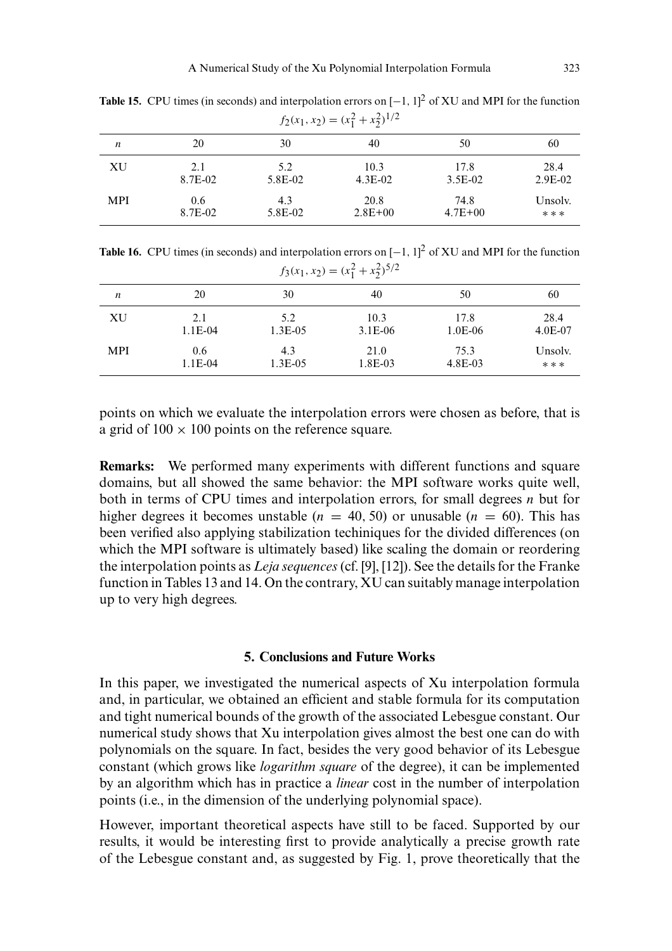| $J_2(v_1, x_2) = (v_1 + v_2)$ |         |         |             |             |           |
|-------------------------------|---------|---------|-------------|-------------|-----------|
| $\boldsymbol{n}$              | 20      | 30      | 40          | 50          | 60        |
| XU                            | 2.1     | 5.2     | 10.3        | 17.8        | 28.4      |
|                               | 8.7E-02 | 5.8E-02 | $4.3E-02$   | $3.5E-02$   | $2.9E-02$ |
| <b>MPI</b>                    | 0.6     | 4.3     | 20.8        | 74.8        | Unsolv.   |
|                               | 8.7E-02 | 5.8E-02 | $2.8E + 00$ | $4.7E + 00$ | ***       |

**Table 15.** CPU times (in seconds) and interpolation errors on  $[-1, 1]^2$  of XU and MPI for the function  $f_2(x_1, x_2) = (x_1^2 + x_2^2)^{1/2}$ 

**Table 16.** CPU times (in seconds) and interpolation errors on  $[-1, 1]^2$  of XU and MPI for the function  $f_3(x_1, x_2) = (x_1^2 + x_2^2)^{5/2}$ 

| $J_1, \dots, J_N$ |           |            |           |         |           |
|-------------------|-----------|------------|-----------|---------|-----------|
| $\boldsymbol{n}$  | 20        | 30         | 40        | 50      | 60        |
| XU                | 2.1       | 5.2        | 10.3      | 17.8    | 28.4      |
|                   | $1.1E-04$ | $1.3E-0.5$ | $3.1E-06$ | 1.0E-06 | $4.0E-07$ |
| <b>MPI</b>        | 0.6       | 4.3        | 21.0      | 75.3    | Unsolv.   |
|                   | 1.1E-04   | $1.3E-0.5$ | 1.8E-03   | 4.8E-03 | ***       |

points on which we evaluate the interpolation errors were chosen as before, that is a grid of  $100 \times 100$  points on the reference square.

Remarks: We performed many experiments with different functions and square domains, but all showed the same behavior: the MPI software works quite well, both in terms of CPU times and interpolation errors, for small degrees  $n$  but for higher degrees it becomes unstable ( $n = 40, 50$ ) or unusable ( $n = 60$ ). This has been verified also applying stabilization techiniques for the divided differences (on which the MPI software is ultimately based) like scaling the domain or reordering the interpolation points as *Leja sequences* (cf. [9], [12]). See the details for the Franke function in Tables 13 and 14. On the contrary, XU can suitably manage interpolation up to very high degrees.

## 5. Conclusions and Future Works

In this paper, we investigated the numerical aspects of Xu interpolation formula and, in particular, we obtained an efficient and stable formula for its computation and tight numerical bounds of the growth of the associated Lebesgue constant. Our numerical study shows that Xu interpolation gives almost the best one can do with polynomials on the square. In fact, besides the very good behavior of its Lebesgue constant (which grows like *logarithm square* of the degree), it can be implemented by an algorithm which has in practice a *linear* cost in the number of interpolation points (i.e., in the dimension of the underlying polynomial space).

However, important theoretical aspects have still to be faced. Supported by our results, it would be interesting first to provide analytically a precise growth rate of the Lebesgue constant and, as suggested by Fig. 1, prove theoretically that the